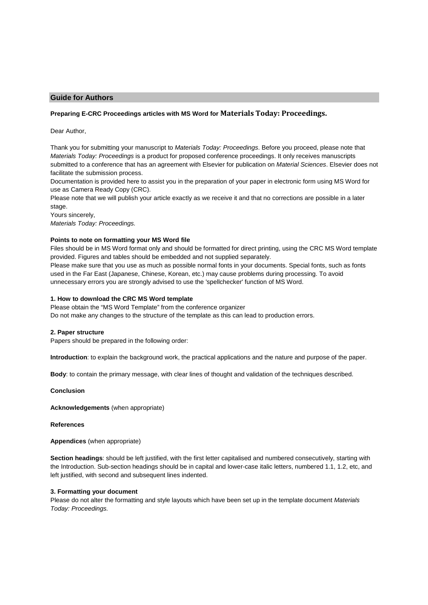# **Guide for Authors**

# **Preparing E-CRC Proceedings articles with MS Word for Materials Today: Proceedings.**

Dear Author,

Thank you for submitting your manuscript to Materials Today: Proceedings. Before you proceed, please note that Materials Today: Proceedings is a product for proposed conference proceedings. It only receives manuscripts submitted to a conference that has an agreement with Elsevier for publication on Material Sciences. Elsevier does not facilitate the submission process.

Documentation is provided here to assist you in the preparation of your paper in electronic form using MS Word for use as Camera Ready Copy (CRC).

Please note that we will publish your article exactly as we receive it and that no corrections are possible in a later stage.

Yours sincerely,

Materials Today: Proceedings.

## **Points to note on formatting your MS Word file**

Files should be in MS Word format only and should be formatted for direct printing, using the CRC MS Word template provided. Figures and tables should be embedded and not supplied separately.

Please make sure that you use as much as possible normal fonts in your documents. Special fonts, such as fonts used in the Far East (Japanese, Chinese, Korean, etc.) may cause problems during processing. To avoid unnecessary errors you are strongly advised to use the 'spellchecker' function of MS Word.

### **1. How to download the CRC MS Word template**

Please obtain the "MS Word Template" from the conference organizer Do not make any changes to the structure of the template as this can lead to production errors.

#### **2. Paper structure**

Papers should be prepared in the following order:

**Introduction**: to explain the background work, the practical applications and the nature and purpose of the paper.

**Body**: to contain the primary message, with clear lines of thought and validation of the techniques described.

**Conclusion** 

**Acknowledgements** (when appropriate)

**References** 

**Appendices** (when appropriate)

**Section headings**: should be left justified, with the first letter capitalised and numbered consecutively, starting with the Introduction. Sub-section headings should be in capital and lower-case italic letters, numbered 1.1, 1.2, etc, and left justified, with second and subsequent lines indented.

## **3. Formatting your document**

Please do not alter the formatting and style layouts which have been set up in the template document Materials Today: Proceedings.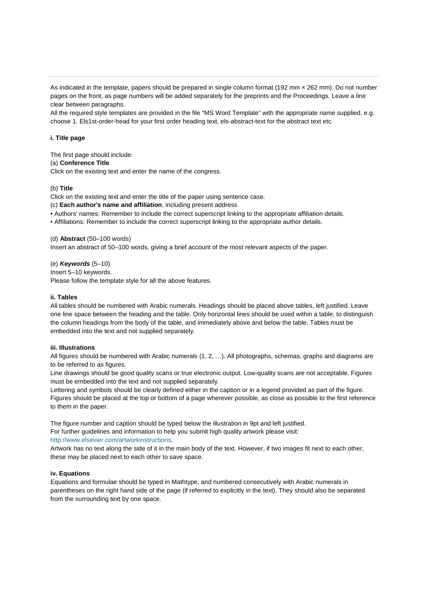As indicated in the template, papers should be prepared in single column format (192 mm × 262 mm). Do not number pages on the front, as page numbers will be added separately for the preprints and the Proceedings. Leave a line clear between paragraphs.

All the required style templates are provided in the file "MS Word Template" with the appropriate name supplied, e.g. choose 1. Els1st-order-head for your first order heading text, els-abstract-text for the abstract text etc.

## **i. Title page**

The first page should include: (a) **Conference Title** Click on the existing text and enter the name of the congress.

### (b) **Title**

Click on the existing text and enter the title of the paper using sentence case.

(c) **Each author's name and affiliation**, including present address

- Authors' names: Remember to include the correct superscript linking to the appropriate affiliation details.
- Affiliations: Remember to include the correct superscript linking to the appropriate author details.

(d) **Abstract** (50–100 words)

Insert an abstract of 50–100 words, giving a brief account of the most relevant aspects of the paper.

(e) **Keywords** (5–10) Insert 5–10 keywords. Please follow the template style for all the above features.

## **ii. Tables**

All tables should be numbered with Arabic numerals. Headings should be placed above tables, left justified. Leave one line space between the heading and the table. Only horizontal lines should be used within a table, to distinguish the column headings from the body of the table, and immediately above and below the table. Tables must be embedded into the text and not supplied separately.

### **iii. Illustrations**

All figures should be numbered with Arabic numerals (1, 2, …). All photographs, schemas, graphs and diagrams are to be referred to as figures.

Line drawings should be good quality scans or true electronic output. Low-quality scans are not acceptable. Figures must be embedded into the text and not supplied separately.

Lettering and symbols should be clearly defined either in the caption or in a legend provided as part of the figure. Figures should be placed at the top or bottom of a page wherever possible, as close as possible to the first reference to them in the paper.

The figure number and caption should be typed below the illustration in 9pt and left justified. For further guidelines and information to help you submit high quality artwork please visit: http://www.elsevier.com/artworkinstructions.

Artwork has no text along the side of it in the main body of the text. However, if two images fit next to each other, these may be placed next to each other to save space.

#### **iv. Equations**

Equations and formulae should be typed in Mathtype, and numbered consecutively with Arabic numerals in parentheses on the right hand side of the page (if referred to explicitly in the text). They should also be separated from the surrounding text by one space.